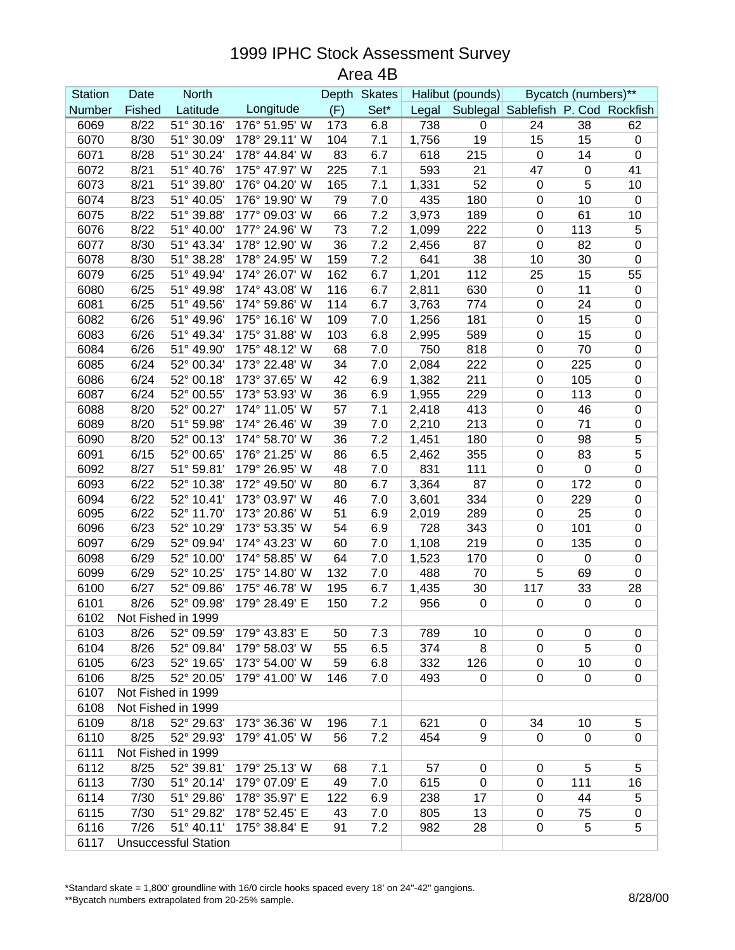## 1999 IPHC Stock Assessment Survey

Area 4B

| <b>Station</b> | Date                        | <b>North</b>       |                                |     | Depth Skates |       | Halibut (pounds) | Bycatch (numbers)**                |             |                        |
|----------------|-----------------------------|--------------------|--------------------------------|-----|--------------|-------|------------------|------------------------------------|-------------|------------------------|
| Number         | Fished                      | Latitude           | Longitude                      | (F) | Set*         | Legal |                  | Sublegal Sablefish P. Cod Rockfish |             |                        |
| 6069           | 8/22                        | 51° 30.16'         | 176° 51.95' W                  | 173 | 6.8          | 738   | 0                | 24                                 | 38          | 62                     |
| 6070           | 8/30                        | 51° 30.09'         | 178° 29.11' W                  | 104 | 7.1          | 1,756 | 19               | 15                                 | 15          | $\pmb{0}$              |
| 6071           | 8/28                        | 51° 30.24'         | 178° 44.84' W                  | 83  | 6.7          | 618   | 215              | $\mathbf 0$                        | 14          | $\pmb{0}$              |
| 6072           | 8/21                        | 51° 40.76'         | 175° 47.97' W                  | 225 | 7.1          | 593   | 21               | 47                                 | $\pmb{0}$   | 41                     |
| 6073           | 8/21                        | 51° 39.80'         | 176° 04.20' W                  | 165 | 7.1          | 1,331 | 52               | $\mathbf 0$                        | 5           | 10                     |
| 6074           | 8/23                        | 51° 40.05'         | 176° 19.90' W                  | 79  | 7.0          | 435   | 180              | $\pmb{0}$                          | 10          | $\pmb{0}$              |
| 6075           | 8/22                        | 51° 39.88'         | 177° 09.03' W                  | 66  | 7.2          | 3,973 | 189              | $\boldsymbol{0}$                   | 61          | 10                     |
| 6076           | 8/22                        | 51° 40.00'         | 177° 24.96' W                  | 73  | 7.2          | 1,099 | 222              | $\mathbf 0$                        | 113         | 5                      |
| 6077           | 8/30                        | 51° 43.34'         | 178° 12.90' W                  | 36  | 7.2          | 2,456 | 87               | $\mathbf 0$                        | 82          | $\pmb{0}$              |
| 6078           | 8/30                        | 51° 38.28'         | 178° 24.95' W                  | 159 | 7.2          | 641   | 38               | 10                                 | 30          | $\pmb{0}$              |
| 6079           | 6/25                        | 51° 49.94'         | 174° 26.07' W                  | 162 | 6.7          | 1,201 | 112              | 25                                 | 15          | 55                     |
| 6080           | 6/25                        | 51° 49.98'         | 174° 43.08' W                  | 116 | 6.7          | 2,811 | 630              | $\pmb{0}$                          | 11          | $\pmb{0}$              |
| 6081           | 6/25                        | 51° 49.56'         | 174° 59.86' W                  | 114 | 6.7          | 3,763 | 774              | $\boldsymbol{0}$                   | 24          | $\pmb{0}$              |
| 6082           | 6/26                        | 51° 49.96'         | 175° 16.16' W                  | 109 | 7.0          | 1,256 | 181              | $\boldsymbol{0}$                   | 15          | $\pmb{0}$              |
| 6083           | 6/26                        | 51° 49.34'         | 175° 31.88' W                  | 103 | 6.8          | 2,995 | 589              | $\pmb{0}$                          | 15          | $\pmb{0}$              |
| 6084           | 6/26                        | 51° 49.90'         | 175° 48.12' W                  | 68  | 7.0          | 750   | 818              | $\pmb{0}$                          | 70          | $\pmb{0}$              |
| 6085           | 6/24                        | 52° 00.34'         | 173° 22.48' W                  | 34  | 7.0          | 2,084 | 222              | $\boldsymbol{0}$                   | 225         | $\pmb{0}$              |
| 6086           | 6/24                        | 52° 00.18'         | 173° 37.65' W                  | 42  | 6.9          | 1,382 | 211              | $\boldsymbol{0}$                   | 105         | $\pmb{0}$              |
| 6087           | 6/24                        | 52° 00.55'         | 173° 53.93' W                  | 36  | 6.9          | 1,955 | 229              | $\mathbf 0$                        | 113         | $\pmb{0}$              |
| 6088           | 8/20                        | 52° 00.27'         | 174° 11.05' W                  | 57  | 7.1          | 2,418 | 413              | $\mathbf 0$                        | 46          | $\pmb{0}$              |
| 6089           | 8/20                        | 51° 59.98'         | 174° 26.46' W                  | 39  | 7.0          | 2,210 | 213              | $\boldsymbol{0}$                   | 71          | $\pmb{0}$              |
| 6090           | 8/20                        | 52° 00.13'         | 174° 58.70' W                  | 36  | 7.2          | 1,451 | 180              | $\boldsymbol{0}$                   | 98          | 5                      |
| 6091           | 6/15                        | 52° 00.65'         | 176° 21.25' W                  | 86  | 6.5          | 2,462 | 355              | $\boldsymbol{0}$                   | 83          | $\overline{5}$         |
| 6092           | 8/27                        | 51° 59.81'         | 179° 26.95' W                  | 48  | 7.0          | 831   | 111              | $\pmb{0}$                          | $\pmb{0}$   | $\pmb{0}$              |
| 6093           | 6/22                        | 52° 10.38'         | 172° 49.50' W                  | 80  | 6.7          | 3,364 | 87               | $\boldsymbol{0}$                   | 172         |                        |
| 6094           | 6/22                        | 52° 10.41'         | 173° 03.97' W                  | 46  | 7.0          | 3,601 | 334              | $\boldsymbol{0}$                   | 229         | $\pmb{0}$<br>$\pmb{0}$ |
| 6095           | 6/22                        | 52° 11.70'         | 173° 20.86' W                  | 51  | 6.9          | 2,019 | 289              | $\boldsymbol{0}$                   | 25          | $\pmb{0}$              |
| 6096           | 6/23                        | 52° 10.29'         | 173° 53.35' W                  | 54  | 6.9          | 728   | 343              | $\pmb{0}$                          | 101         | $\pmb{0}$              |
| 6097           | 6/29                        | 52° 09.94'         | 174° 43.23' W                  | 60  | 7.0          | 1,108 | 219              | $\mathbf 0$                        | 135         | $\pmb{0}$              |
| 6098           | 6/29                        | 52° 10.00'         | 174° 58.85' W                  | 64  | 7.0          | 1,523 | 170              | $\pmb{0}$                          | $\mathbf 0$ | $\pmb{0}$              |
| 6099           | 6/29                        | 52° 10.25'         | 175° 14.80' W                  | 132 | 7.0          | 488   | 70               | 5                                  | 69          | $\pmb{0}$              |
| 6100           | 6/27                        | 52° 09.86'         | 175° 46.78' W                  | 195 | 6.7          | 1,435 | 30               | 117                                | 33          | 28                     |
| 6101           | 8/26                        | 52° 09.98'         | 179° 28.49' E                  | 150 | 7.2          | 956   | $\boldsymbol{0}$ | $\pmb{0}$                          | $\pmb{0}$   | $\pmb{0}$              |
| 6102           |                             | Not Fished in 1999 |                                |     |              |       |                  |                                    |             |                        |
|                |                             |                    |                                |     |              |       |                  |                                    |             |                        |
| 6103           | 8/26<br>8/26                | 52° 09.59'         | 179° 43.83' E<br>179° 58.03' W | 50  | 7.3<br>6.5   | 789   | 10               | $\mathbf 0$                        | 0<br>5      | $\mathbf 0$            |
| 6104           |                             | 52° 09.84'         |                                | 55  |              | 374   | 8                | 0                                  |             | 0                      |
| 6105           | 6/23                        | 52° 19.65'         | 173° 54.00' W                  | 59  | 6.8          | 332   | 126              | $\boldsymbol{0}$                   | 10          | $\pmb{0}$              |
| 6106           | 8/25                        | 52° 20.05'         | 179° 41.00' W                  | 146 | 7.0          | 493   | 0                | 0                                  | $\mathbf 0$ | 0                      |
| 6107           |                             | Not Fished in 1999 |                                |     |              |       |                  |                                    |             |                        |
| 6108           |                             | Not Fished in 1999 |                                |     |              |       |                  |                                    |             |                        |
| 6109           | 8/18                        | 52° 29.63'         | 173° 36.36' W                  | 196 | 7.1          | 621   | 0                | 34                                 | 10          | 5                      |
| 6110           | 8/25                        | 52° 29.93'         | 179° 41.05' W                  | 56  | 7.2          | 454   | 9                | $\mathbf 0$                        | 0           | 0                      |
| 6111           | Not Fished in 1999          |                    |                                |     |              |       |                  |                                    |             |                        |
| 6112           | 8/25                        | 52° 39.81'         | 179° 25.13' W                  | 68  | 7.1          | 57    | 0                | 0                                  | 5           | 5                      |
| 6113           | 7/30                        | 51° 20.14'         | 179° 07.09' E                  | 49  | 7.0          | 615   | $\mathbf 0$      | $\mathbf 0$                        | 111         | 16                     |
| 6114           | 7/30                        | 51° 29.86'         | 178° 35.97' E                  | 122 | 6.9          | 238   | 17               | $\mathbf 0$                        | 44          | 5                      |
| 6115           | 7/30                        | 51° 29.82'         | 178° 52.45' E                  | 43  | 7.0          | 805   | 13               | $\mathbf 0$                        | 75          | $\pmb{0}$              |
| 6116           | 7/26                        | 51° 40.11'         | 175° 38.84' E                  | 91  | 7.2          | 982   | 28               | 0                                  | 5           | 5                      |
| 6117           | <b>Unsuccessful Station</b> |                    |                                |     |              |       |                  |                                    |             |                        |

\*Standard skate = 1,800' groundline with 16/0 circle hooks spaced every 18' on 24"-42" gangions.

\*\*Bycatch numbers extrapolated from 20-25% sample.<br>\*\*Bycatch numbers extrapolated from 20-25% sample.